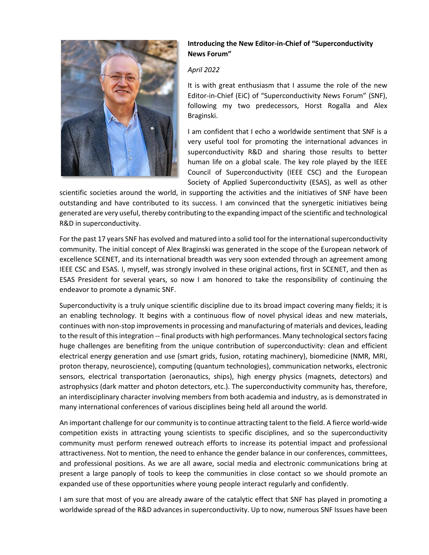

## **Introducing the New Editor-in-Chief of "Superconductivity News Forum"**

## *April 2022*

It is with great enthusiasm that I assume the role of the new Editor-in-Chief (EiC) of "Superconductivity News Forum" (SNF), following my two predecessors, Horst Rogalla and Alex Braginski.

I am confident that I echo a worldwide sentiment that SNF is a very useful tool for promoting the international advances in superconductivity R&D and sharing those results to better human life on a global scale. The key role played by the IEEE Council of Superconductivity (IEEE CSC) and the European Society of Applied Superconductivity (ESAS), as well as other

scientific societies around the world, in supporting the activities and the initiatives of SNF have been outstanding and have contributed to its success. I am convinced that the synergetic initiatives being generated are very useful, thereby contributing to the expanding impact of the scientific and technological R&D in superconductivity.

For the past 17 years SNF has evolved and matured into a solid tool for the international superconductivity community. The initial concept of Alex Braginski was generated in the scope of the European network of excellence SCENET, and its international breadth was very soon extended through an agreement among IEEE CSC and ESAS. I, myself, was strongly involved in these original actions, first in SCENET, and then as ESAS President for several years, so now I am honored to take the responsibility of continuing the endeavor to promote a dynamic SNF.

Superconductivity is a truly unique scientific discipline due to its broad impact covering many fields; it is an enabling technology. It begins with a continuous flow of novel physical ideas and new materials, continues with non-stop improvements in processing and manufacturing of materials and devices, leading to the result of thisintegration -- final products with high performances. Many technological sectors facing huge challenges are benefiting from the unique contribution of superconductivity: clean and efficient electrical energy generation and use (smart grids, fusion, rotating machinery), biomedicine (NMR, MRI, proton therapy, neuroscience), computing (quantum technologies), communication networks, electronic sensors, electrical transportation (aeronautics, ships), high energy physics (magnets, detectors) and astrophysics (dark matter and photon detectors, etc.). The superconductivity community has, therefore, an interdisciplinary character involving members from both academia and industry, as is demonstrated in many international conferences of various disciplines being held all around the world.

An important challenge for our community is to continue attracting talent to the field. A fierce world-wide competition exists in attracting young scientists to specific disciplines, and so the superconductivity community must perform renewed outreach efforts to increase its potential impact and professional attractiveness. Not to mention, the need to enhance the gender balance in our conferences, committees, and professional positions. As we are all aware, social media and electronic communications bring at present a large panoply of tools to keep the communities in close contact so we should promote an expanded use of these opportunities where young people interact regularly and confidently.

I am sure that most of you are already aware of the catalytic effect that SNF has played in promoting a worldwide spread of the R&D advances in superconductivity. Up to now, numerous SNF Issues have been